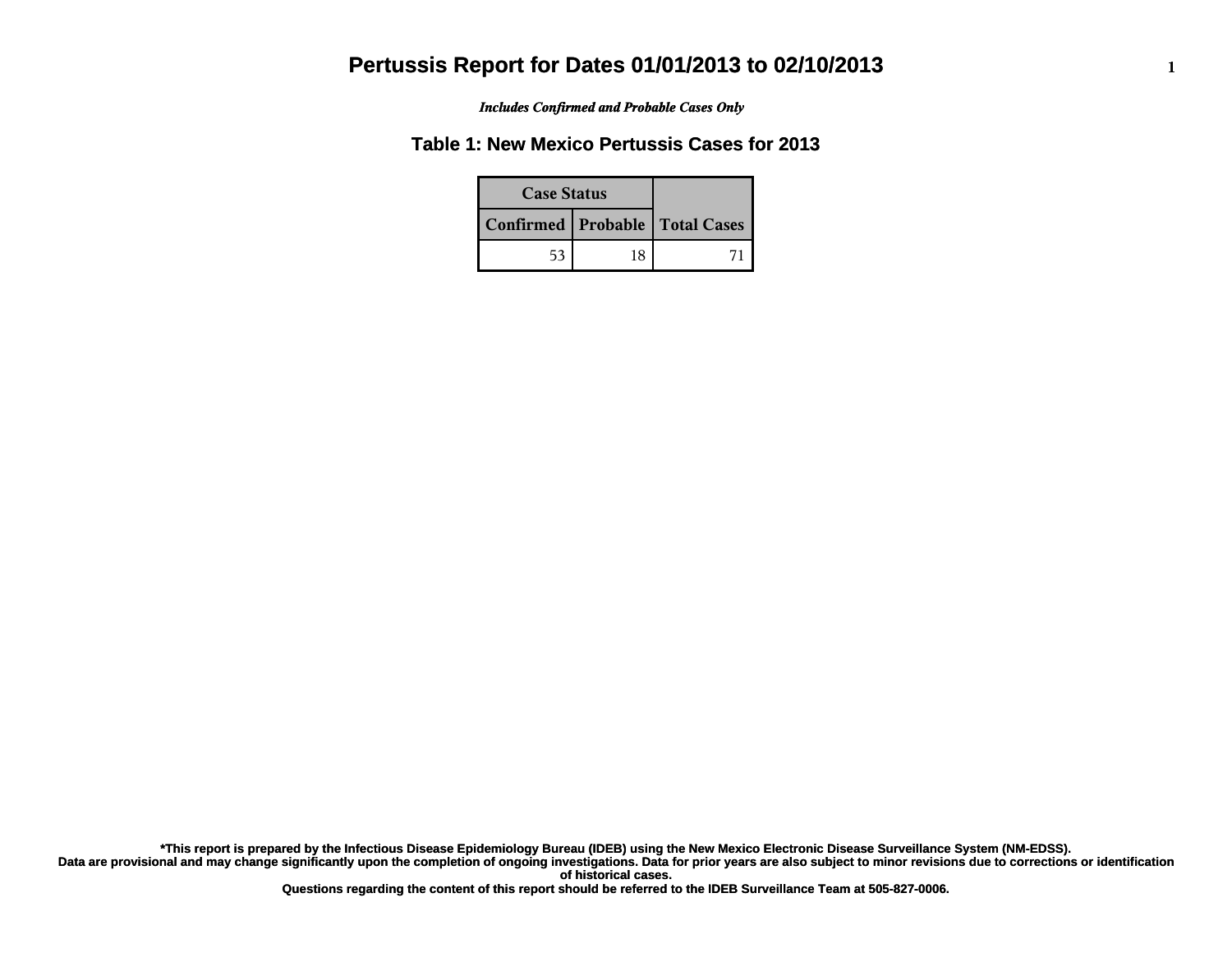*Includes Confirmed and Probable Cases Only*

### **Table 1: New Mexico Pertussis Cases for 2013**

| <b>Case Status</b> |    |                                    |
|--------------------|----|------------------------------------|
|                    |    | Confirmed   Probable   Total Cases |
| 53                 | 18 |                                    |

**Data are provisional and may change significantly upon the completion of ongoing investigations. Data for prior years are also subject to minor revisions due to corrections or identification of historical cases. \*This report is prepared by the Infectious Disease Epidemiology Bureau (IDEB) using the New Mexico Electronic Disease Surveillance System (NM-EDSS).**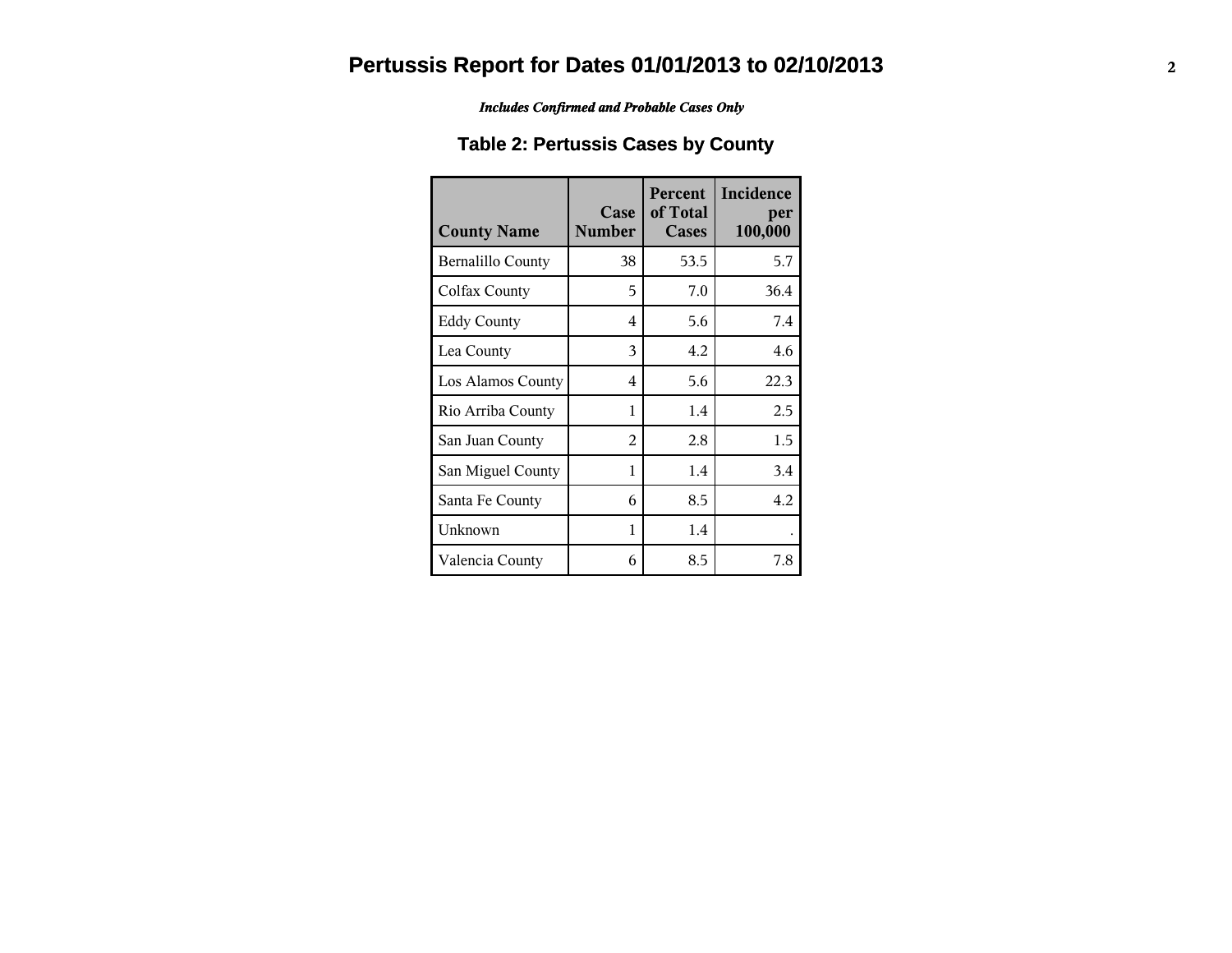*Includes Confirmed and Probable Cases Only*

### **Table 2: Pertussis Cases by County**

| <b>County Name</b>       | Case<br><b>Number</b> | Percent<br>of Total<br>Cases | Incidence<br>per<br>100,000 |
|--------------------------|-----------------------|------------------------------|-----------------------------|
| <b>Bernalillo County</b> | 38                    | 53.5                         | 5.7                         |
| Colfax County            | 5                     | 7.0                          | 36.4                        |
| <b>Eddy County</b>       | 4                     | 5.6                          | 7.4                         |
| Lea County               | 3                     | 4.2                          | 4.6                         |
| Los Alamos County        | 4                     | 5.6                          | 22.3                        |
| Rio Arriba County        | 1                     | 1.4                          | 2.5                         |
| San Juan County          | $\mathfrak{D}$        | 2.8                          | 1.5                         |
| San Miguel County        | 1                     | 1.4                          | 3.4                         |
| Santa Fe County          | 6                     | 8.5                          | 4.2                         |
| Unknown                  | 1                     | 1.4                          |                             |
| Valencia County          | 6                     | 8.5                          | 7.8                         |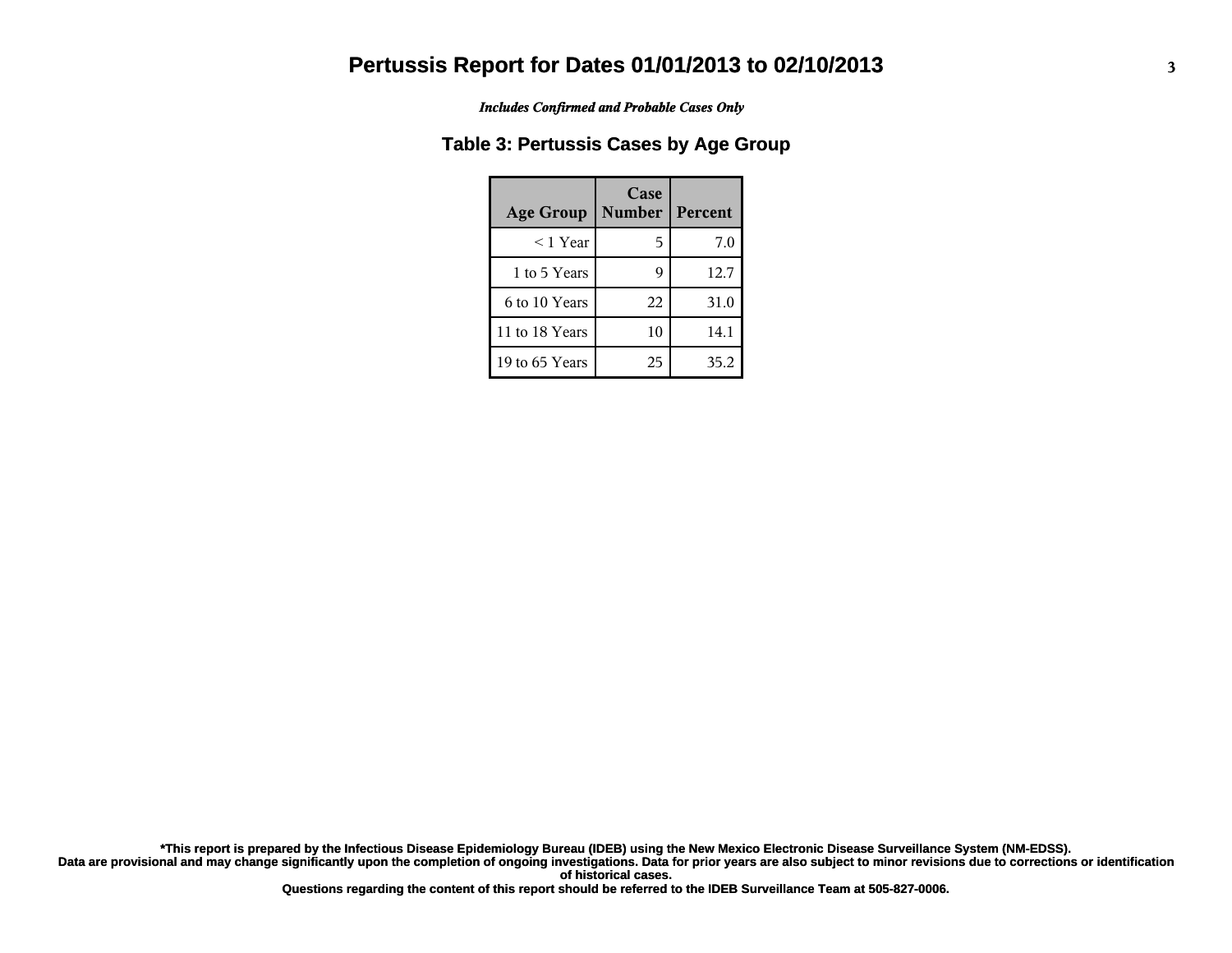*Includes Confirmed and Probable Cases Only*

#### **Table 3: Pertussis Cases by Age Group**

| <b>Age Group</b> | Case<br><b>Number</b> | Percent |
|------------------|-----------------------|---------|
| $<$ 1 Year       | 5                     | 7.0     |
| 1 to 5 Years     |                       | 12.7    |
| 6 to 10 Years    | 22                    | 31.0    |
| 11 to 18 Years   | 10                    | 14.1    |
| 19 to 65 Years   | 25                    | 35.2    |

**Data are provisional and may change significantly upon the completion of ongoing investigations. Data for prior years are also subject to minor revisions due to corrections or identification of historical cases. \*This report is prepared by the Infectious Disease Epidemiology Bureau (IDEB) using the New Mexico Electronic Disease Surveillance System (NM-EDSS).**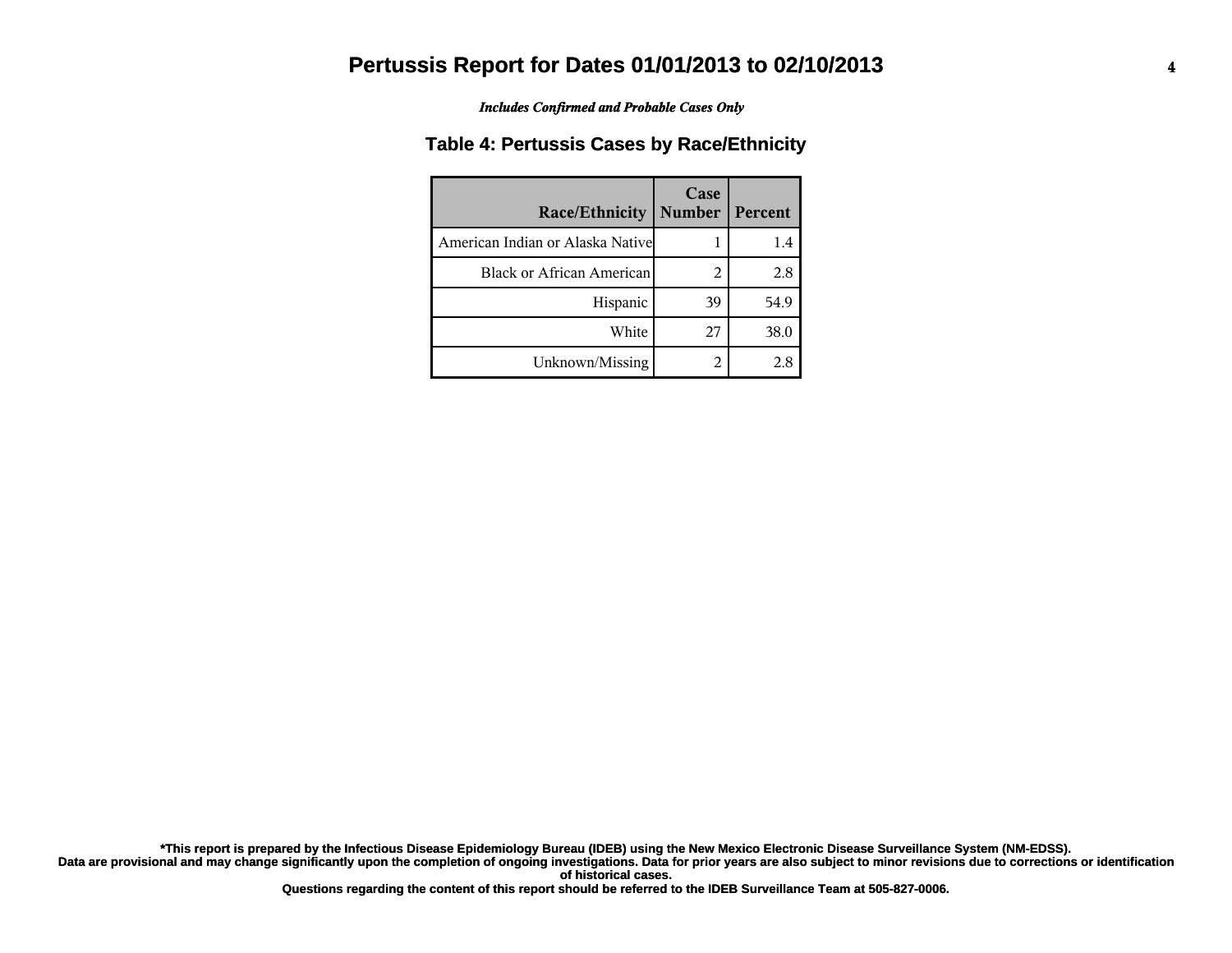*Includes Confirmed and Probable Cases Only*

#### **Table 4: Pertussis Cases by Race/Ethnicity**

| Race/Ethnicity                    | Case<br><b>Number</b> | Percent |
|-----------------------------------|-----------------------|---------|
| American Indian or Alaska Nativel |                       | 1.4     |
| <b>Black or African American</b>  | 2                     | 2.8     |
| Hispanic                          | 39                    | 54.9    |
| White                             | 27                    | 38.0    |
| Unknown/Missing                   | 2                     | 2.8     |

**Data are provisional and may change significantly upon the completion of ongoing investigations. Data for prior years are also subject to minor revisions due to corrections or identification of historical cases. \*This report is prepared by the Infectious Disease Epidemiology Bureau (IDEB) using the New Mexico Electronic Disease Surveillance System (NM-EDSS).**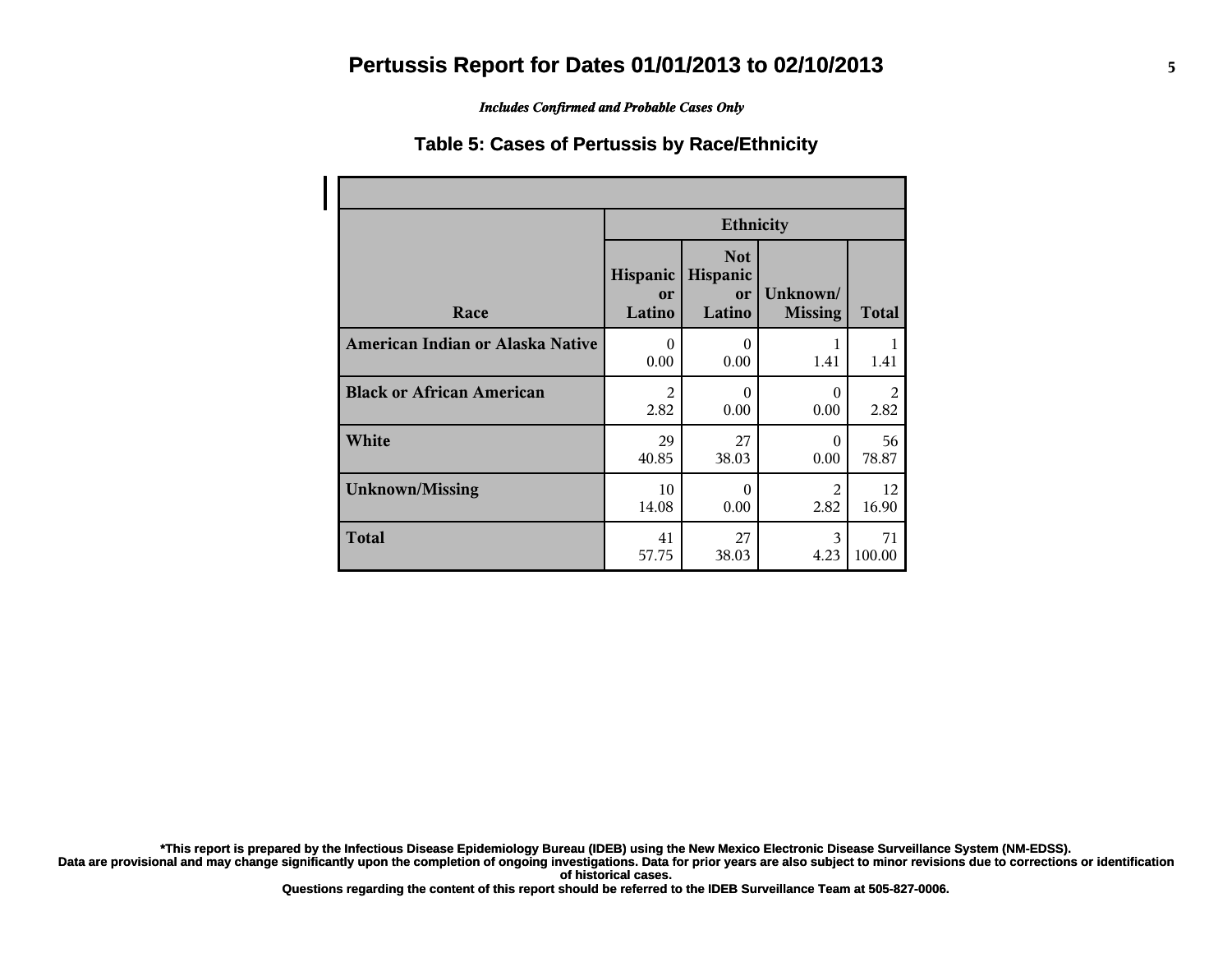*Includes Confirmed and Probable Cases Only*

#### **Table 5: Cases of Pertussis by Race/Ethnicity**

|                                  | <b>Ethnicity</b>         |                                        |                            |              |
|----------------------------------|--------------------------|----------------------------------------|----------------------------|--------------|
| Race                             | Hispanic<br>or<br>Latino | <b>Not</b><br>Hispanic<br>or<br>Latino | Unknown/<br><b>Missing</b> | <b>Total</b> |
| American Indian or Alaska Native | $\theta$                 | $\theta$                               | 1                          | 1            |
|                                  | 0.00                     | 0.00                                   | 1.41                       | 1.41         |
| <b>Black or African American</b> | 2                        | $\theta$                               | $\Omega$                   | 2            |
|                                  | 2.82                     | 0.00                                   | 0.00                       | 2.82         |
| White                            | 29                       | 27                                     | $\theta$                   | 56           |
|                                  | 40.85                    | 38.03                                  | 0.00                       | 78.87        |
| <b>Unknown/Missing</b>           | 10                       | $\theta$                               | 2                          | 12           |
|                                  | 14.08                    | 0.00                                   | 2.82                       | 16.90        |
| <b>Total</b>                     | 41                       | 27                                     | 3                          | 71           |
|                                  | 57.75                    | 38.03                                  | 4.23                       | 100.00       |

**\*This report is prepared by the Infectious Disease Epidemiology Bureau (IDEB) using the New Mexico Electronic Disease Surveillance System (NM-EDSS).**

**Data are provisional and may change significantly upon the completion of ongoing investigations. Data for prior years are also subject to minor revisions due to corrections or identification of historical cases.**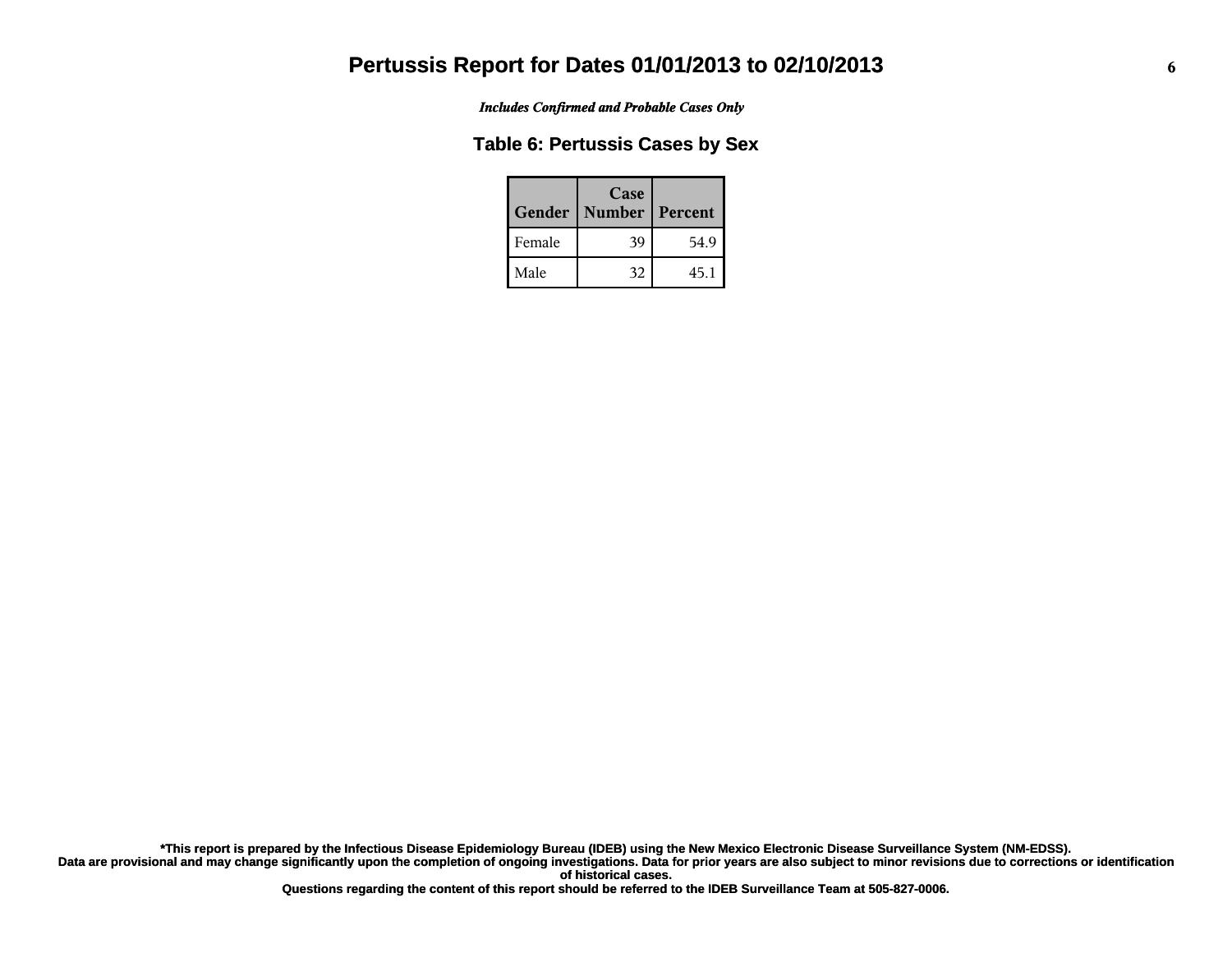*Includes Confirmed and Probable Cases Only*

#### **Table 6: Pertussis Cases by Sex**

| Gender | Case<br><b>Number</b> | Percent |
|--------|-----------------------|---------|
| Female | 39                    | 54.9    |
| Male   | 32                    | 45.1    |

**Data are provisional and may change significantly upon the completion of ongoing investigations. Data for prior years are also subject to minor revisions due to corrections or identification of historical cases. \*This report is prepared by the Infectious Disease Epidemiology Bureau (IDEB) using the New Mexico Electronic Disease Surveillance System (NM-EDSS).**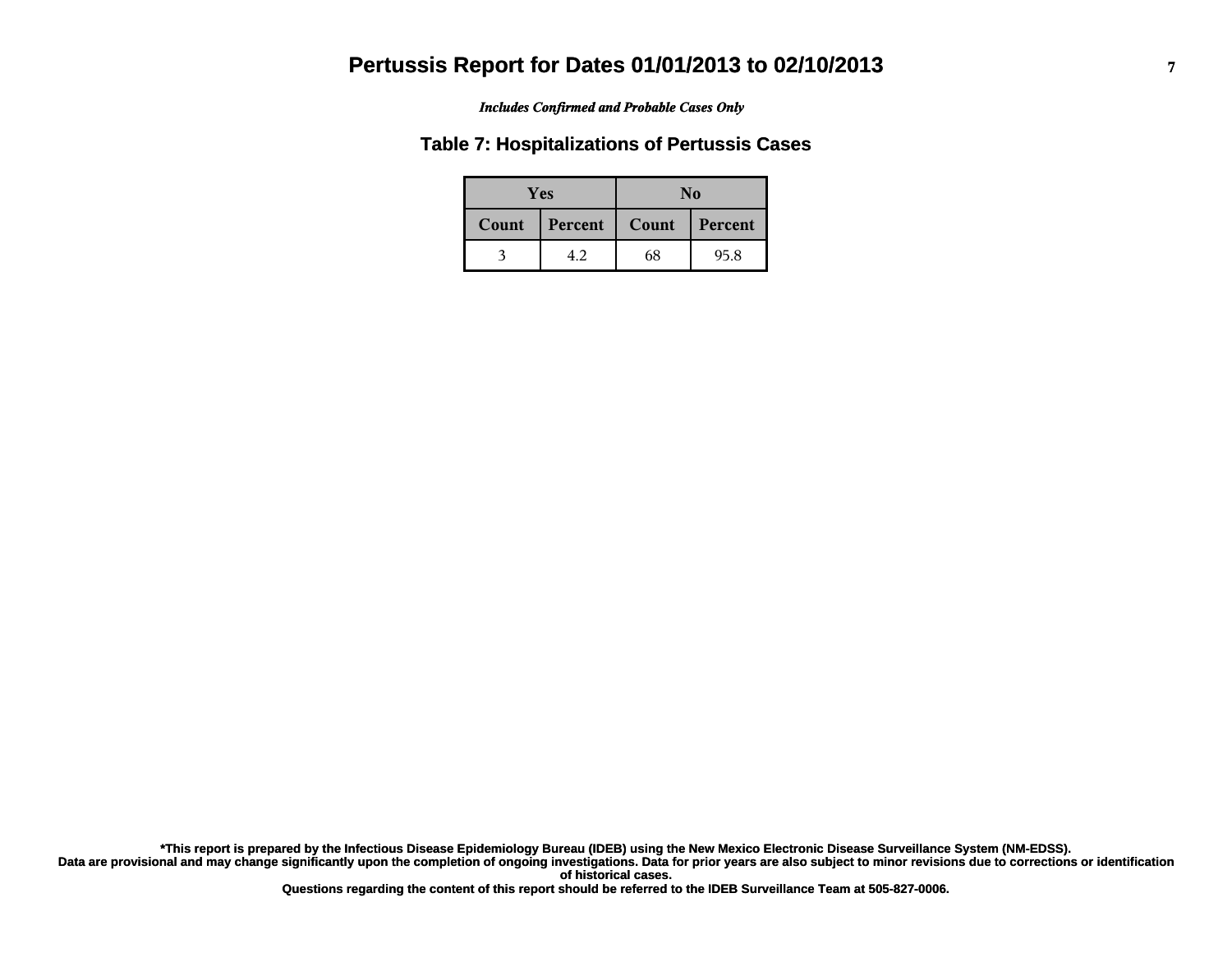#### *Includes Confirmed and Probable Cases Only*

#### **Table 7: Hospitalizations of Pertussis Cases**

| <b>Yes</b> |         | No    |         |  |
|------------|---------|-------|---------|--|
| Count      | Percent | Count | Percent |  |
|            | 4.2     | 68    | 95.8    |  |

**Data are provisional and may change significantly upon the completion of ongoing investigations. Data for prior years are also subject to minor revisions due to corrections or identification of historical cases. \*This report is prepared by the Infectious Disease Epidemiology Bureau (IDEB) using the New Mexico Electronic Disease Surveillance System (NM-EDSS).**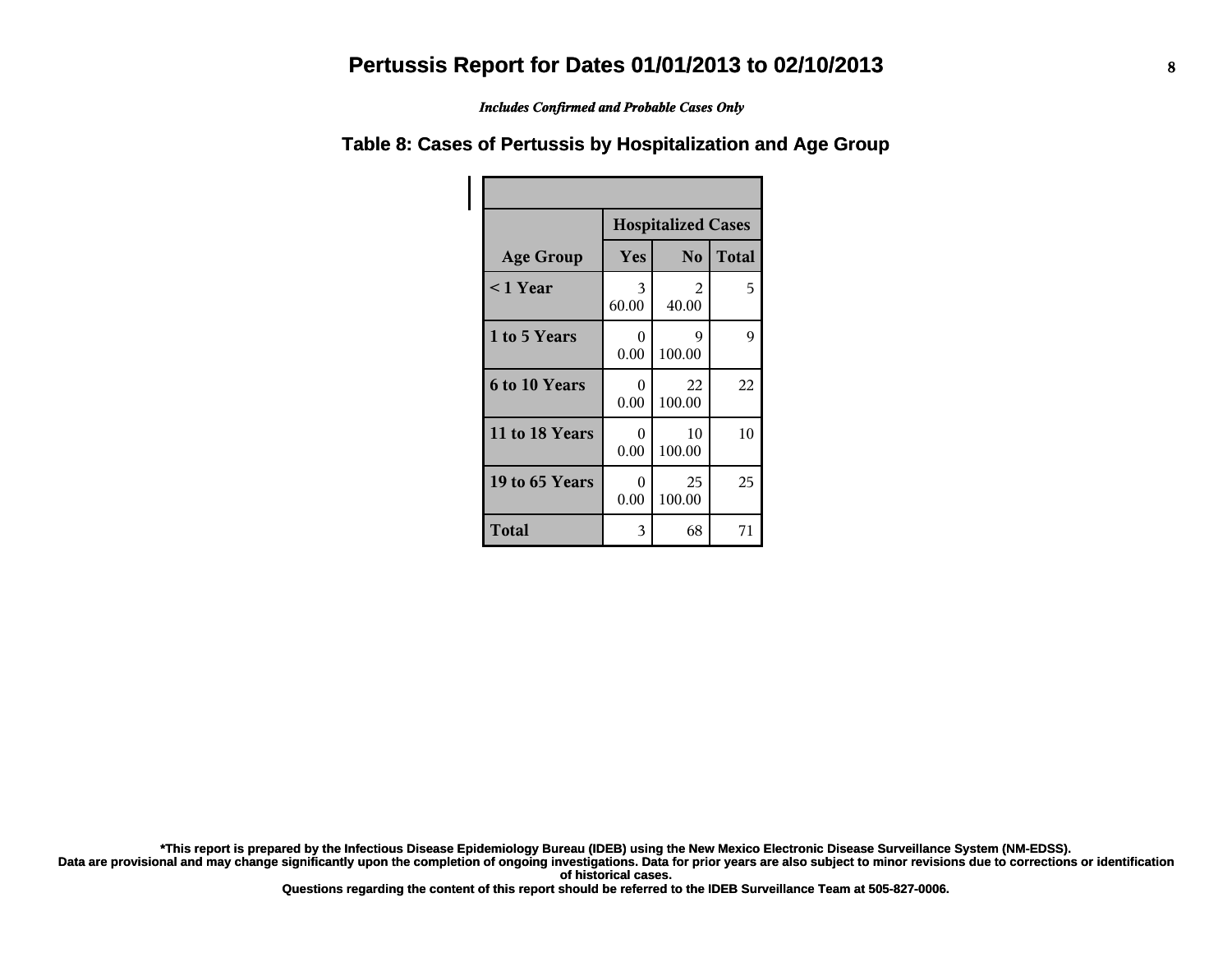*Includes Confirmed and Probable Cases Only*

#### **Table 8: Cases of Pertussis by Hospitalization and Age Group**

|                      | <b>Hospitalized Cases</b> |                |              |  |
|----------------------|---------------------------|----------------|--------------|--|
| <b>Age Group</b>     | Yes                       | N <sub>o</sub> | <b>Total</b> |  |
| $<$ 1 Year           | 3<br>60.00                | 2<br>40.00     | 5            |  |
| 1 to 5 Years         | 0<br>0.00                 | 9<br>100.00    | 9            |  |
| <b>6 to 10 Years</b> | 0<br>0.00                 | 22<br>100.00   | 22           |  |
| 11 to 18 Years       | 0<br>0.00                 | 10<br>100.00   | 10           |  |
| 19 to 65 Years       | 0<br>0.00                 | 25<br>100.00   | 25           |  |
| Total                | 3                         | 68             | 71           |  |

**\*This report is prepared by the Infectious Disease Epidemiology Bureau (IDEB) using the New Mexico Electronic Disease Surveillance System (NM-EDSS).**

**Data are provisional and may change significantly upon the completion of ongoing investigations. Data for prior years are also subject to minor revisions due to corrections or identification of historical cases.**